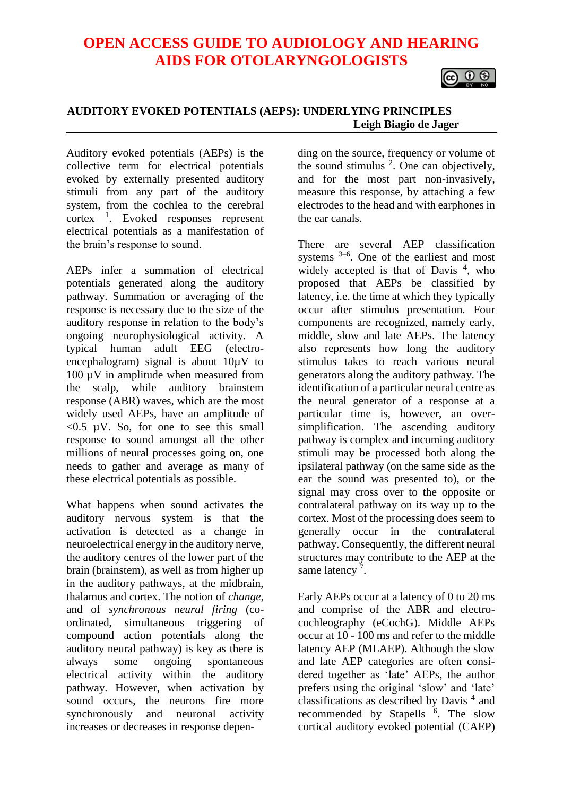# **OPEN ACCESS GUIDE TO AUDIOLOGY AND HEARING AIDS FOR OTOLARYNGOLOGISTS**



#### **AUDITORY EVOKED POTENTIALS (AEPS): UNDERLYING PRINCIPLES Leigh Biagio de Jager**

Auditory evoked potentials (AEPs) is the collective term for electrical potentials evoked by externally presented auditory stimuli from any part of the auditory system, from the cochlea to the cerebral  $\text{cortex}$ <sup>1</sup>. Evoked responses represent electrical potentials as a manifestation of the brain's response to sound.

AEPs infer a summation of electrical potentials generated along the auditory pathway. Summation or averaging of the response is necessary due to the size of the auditory response in relation to the body's ongoing neurophysiological activity. A typical human adult EEG (electroencephalogram) signal is about  $10\mu$ V to 100  $\mu$ V in amplitude when measured from the scalp, while auditory brainstem response (ABR) waves, which are the most widely used AEPs, have an amplitude of  $< 0.5$  µV. So, for one to see this small response to sound amongst all the other millions of neural processes going on, one needs to gather and average as many of these electrical potentials as possible.

What happens when sound activates the auditory nervous system is that the activation is detected as a change in neuroelectrical energy in the auditory nerve, the auditory centres of the lower part of the brain (brainstem), as well as from higher up in the auditory pathways, at the midbrain, thalamus and cortex. The notion of *change*, and of *synchronous neural firing* (coordinated, simultaneous triggering of compound action potentials along the auditory neural pathway) is key as there is always some ongoing spontaneous electrical activity within the auditory pathway. However, when activation by sound occurs, the neurons fire more synchronously and neuronal activity increases or decreases in response depen-

ding on the source, frequency or volume of the sound stimulus  $2$ . One can objectively, and for the most part non-invasively, measure this response, by attaching a few electrodes to the head and with earphones in the ear canals.

There are several AEP classification systems  $3-6$ . One of the earliest and most widely accepted is that of Davis<sup>4</sup>, who proposed that AEPs be classified by latency, i.e. the time at which they typically occur after stimulus presentation. Four components are recognized, namely early, middle, slow and late AEPs. The latency also represents how long the auditory stimulus takes to reach various neural generators along the auditory pathway. The identification of a particular neural centre as the neural generator of a response at a particular time is, however, an oversimplification. The ascending auditory pathway is complex and incoming auditory stimuli may be processed both along the ipsilateral pathway (on the same side as the ear the sound was presented to), or the signal may cross over to the opposite or contralateral pathway on its way up to the cortex. Most of the processing does seem to generally occur in the contralateral pathway. Consequently, the different neural structures may contribute to the AEP at the same latency<sup>7</sup>.

Early AEPs occur at a latency of 0 to 20 ms and comprise of the ABR and electrocochleography (eCochG). Middle AEPs occur at 10 - 100 ms and refer to the middle latency AEP (MLAEP). Although the slow and late AEP categories are often considered together as 'late' AEPs, the author prefers using the original 'slow' and 'late' classifications as described by Davis<sup>4</sup> and recommended by Stapells <sup>6</sup>. The slow cortical auditory evoked potential (CAEP)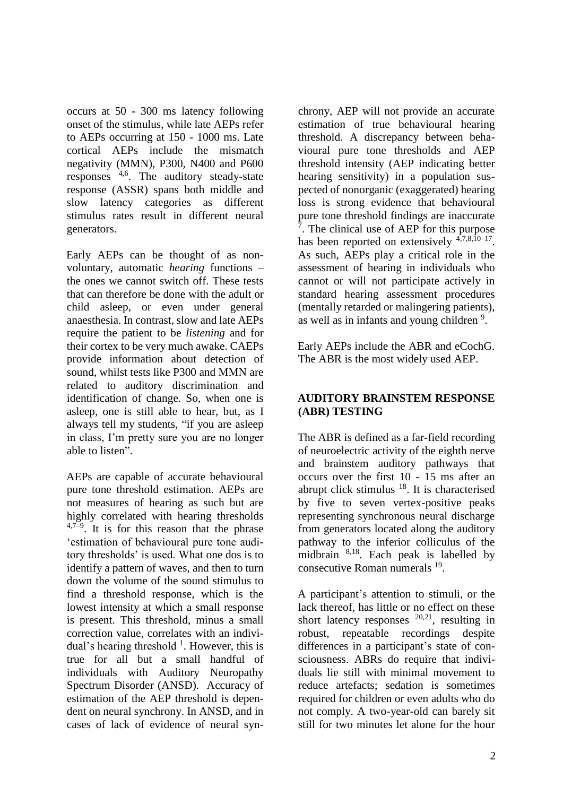occurs at 50 - 300 ms latency following onset of the stimulus, while late AEPs refer to AEPs occurring at 150 - 1000 ms. Late cortical AEPs include the mismatch negativity (MMN), P300, N400 and P600 responses  $4,6$ . The auditory steady-state response (ASSR) spans both middle and slow latency categories as different stimulus rates result in different neural generators.

Early AEPs can be thought of as nonvoluntary, automatic *hearing* functions – the ones we cannot switch off. These tests that can therefore be done with the adult or child asleep, or even under general anaesthesia. In contrast, slow and late AEPs require the patient to be *listening* and for their cortex to be very much awake. CAEPs provide information about detection of sound, whilst tests like P300 and MMN are related to auditory discrimination and identification of change. So, when one is asleep, one is still able to hear, but, as I always tell my students, "if you are asleep in class, I'm pretty sure you are no longer able to listen".

AEPs are capable of accurate behavioural pure tone threshold estimation. AEPs are not measures of hearing as such but are highly correlated with hearing thresholds  $4,7-9$ . It is for this reason that the phrase 'estimation of behavioural pure tone auditory thresholds' is used. What one dos is to identify a pattern of waves, and then to turn down the volume of the sound stimulus to find a threshold response, which is the lowest intensity at which a small response is present. This threshold, minus a small correction value, correlates with an individual's hearing threshold  $<sup>1</sup>$ . However, this is</sup> true for all but a small handful of individuals with Auditory Neuropathy Spectrum Disorder (ANSD). Accuracy of estimation of the AEP threshold is dependent on neural synchrony. In ANSD, and in cases of lack of evidence of neural synchrony, AEP will not provide an accurate estimation of true behavioural hearing threshold. A discrepancy between behavioural pure tone thresholds and AEP threshold intensity (AEP indicating better hearing sensitivity) in a population suspected of nonorganic (exaggerated) hearing loss is strong evidence that behavioural pure tone threshold findings are inaccurate <sup>7</sup>. The clinical use of AEP for this purpose has been reported on extensively <sup>4,7,8,10–17</sup>. As such, AEPs play a critical role in the assessment of hearing in individuals who cannot or will not participate actively in standard hearing assessment procedures (mentally retarded or malingering patients), as well as in infants and young children<sup>9</sup>.

Early AEPs include the ABR and eCochG. The ABR is the most widely used AEP.

# **AUDITORY BRAINSTEM RESPONSE (ABR) TESTING**

The ABR is defined as a far-field recording of neuroelectric activity of the eighth nerve and brainstem auditory pathways that occurs over the first 10 - 15 ms after an abrupt click stimulus <sup>18</sup>. It is characterised by five to seven vertex-positive peaks representing synchronous neural discharge from generators located along the auditory pathway to the inferior colliculus of the midbrain <sup>8,18</sup>. Each peak is labelled by consecutive Roman numerals <sup>19</sup>.

A participant's attention to stimuli, or the lack thereof, has little or no effect on these short latency responses  $20,21$ , resulting in robust, repeatable recordings despite differences in a participant's state of consciousness. ABRs do require that individuals lie still with minimal movement to reduce artefacts; sedation is sometimes required for children or even adults who do not comply. A two-year-old can barely sit still for two minutes let alone for the hour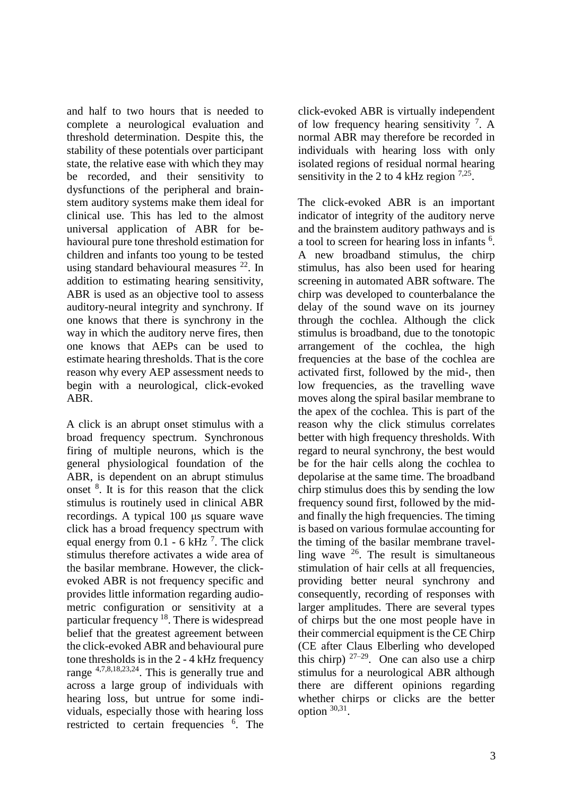and half to two hours that is needed to complete a neurological evaluation and threshold determination. Despite this, the stability of these potentials over participant state, the relative ease with which they may be recorded, and their sensitivity to dysfunctions of the peripheral and brainstem auditory systems make them ideal for clinical use. This has led to the almost universal application of ABR for behavioural pure tone threshold estimation for children and infants too young to be tested using standard behavioural measures <sup>22</sup>. In addition to estimating hearing sensitivity, ABR is used as an objective tool to assess auditory-neural integrity and synchrony. If one knows that there is synchrony in the way in which the auditory nerve fires, then one knows that AEPs can be used to estimate hearing thresholds. That is the core reason why every AEP assessment needs to begin with a neurological, click-evoked ABR.

A click is an abrupt onset stimulus with a broad frequency spectrum. Synchronous firing of multiple neurons, which is the general physiological foundation of the ABR, is dependent on an abrupt stimulus onset <sup>8</sup> . It is for this reason that the click stimulus is routinely used in clinical ABR recordings. A typical 100 μs square wave click has a broad frequency spectrum with equal energy from  $0.1 - 6$  kHz<sup>7</sup>. The click stimulus therefore activates a wide area of the basilar membrane. However, the clickevoked ABR is not frequency specific and provides little information regarding audiometric configuration or sensitivity at a particular frequency <sup>18</sup>. There is widespread belief that the greatest agreement between the click-evoked ABR and behavioural pure tone thresholds is in the 2 - 4 kHz frequency range 4,7,8,18,23,24. This is generally true and across a large group of individuals with hearing loss, but untrue for some individuals, especially those with hearing loss restricted to certain frequencies <sup>6</sup>. The click-evoked ABR is virtually independent of low frequency hearing sensitivity  $\frac{7}{1}$ . A normal ABR may therefore be recorded in individuals with hearing loss with only isolated regions of residual normal hearing sensitivity in the 2 to 4 kHz region  $7.25$ .

The click-evoked ABR is an important indicator of integrity of the auditory nerve and the brainstem auditory pathways and is a tool to screen for hearing loss in infants <sup>6</sup>. A new broadband stimulus, the chirp stimulus, has also been used for hearing screening in automated ABR software. The chirp was developed to counterbalance the delay of the sound wave on its journey through the cochlea. Although the click stimulus is broadband, due to the tonotopic arrangement of the cochlea, the high frequencies at the base of the cochlea are activated first, followed by the mid-, then low frequencies, as the travelling wave moves along the spiral basilar membrane to the apex of the cochlea. This is part of the reason why the click stimulus correlates better with high frequency thresholds. With regard to neural synchrony, the best would be for the hair cells along the cochlea to depolarise at the same time. The broadband chirp stimulus does this by sending the low frequency sound first, followed by the midand finally the high frequencies. The timing is based on various formulae accounting for the timing of the basilar membrane travelling wave  $26$ . The result is simultaneous stimulation of hair cells at all frequencies, providing better neural synchrony and consequently, recording of responses with larger amplitudes. There are several types of chirps but the one most people have in their commercial equipment is the CE Chirp (CE after Claus Elberling who developed this chirp)  $27-29$ . One can also use a chirp stimulus for a neurological ABR although there are different opinions regarding whether chirps or clicks are the better option  $30,31$ .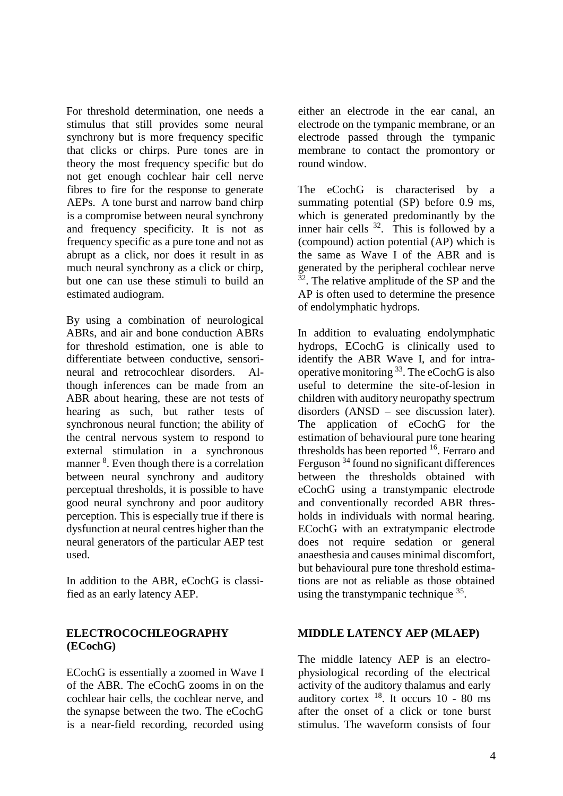For threshold determination, one needs a stimulus that still provides some neural synchrony but is more frequency specific that clicks or chirps. Pure tones are in theory the most frequency specific but do not get enough cochlear hair cell nerve fibres to fire for the response to generate AEPs. A tone burst and narrow band chirp is a compromise between neural synchrony and frequency specificity. It is not as frequency specific as a pure tone and not as abrupt as a click, nor does it result in as much neural synchrony as a click or chirp, but one can use these stimuli to build an estimated audiogram.

By using a combination of neurological ABRs, and air and bone conduction ABRs for threshold estimation, one is able to differentiate between conductive, sensorineural and retrocochlear disorders. Although inferences can be made from an ABR about hearing, these are not tests of hearing as such, but rather tests of synchronous neural function; the ability of the central nervous system to respond to external stimulation in a synchronous manner <sup>8</sup>. Even though there is a correlation between neural synchrony and auditory perceptual thresholds, it is possible to have good neural synchrony and poor auditory perception. This is especially true if there is dysfunction at neural centres higher than the neural generators of the particular AEP test used.

In addition to the ABR, eCochG is classified as an early latency AEP.

### **ELECTROCOCHLEOGRAPHY (ECochG)**

ECochG is essentially a zoomed in Wave I of the ABR. The eCochG zooms in on the cochlear hair cells, the cochlear nerve, and the synapse between the two. The eCochG is a near-field recording, recorded using

either an electrode in the ear canal, an electrode on the tympanic membrane, or an electrode passed through the tympanic membrane to contact the promontory or round window.

The eCochG is characterised by a summating potential (SP) before 0.9 ms, which is generated predominantly by the inner hair cells  $32$ . This is followed by a (compound) action potential (AP) which is the same as Wave I of the ABR and is generated by the peripheral cochlear nerve <sup>32</sup>. The relative amplitude of the SP and the AP is often used to determine the presence of endolymphatic hydrops.

In addition to evaluating endolymphatic hydrops, ECochG is clinically used to identify the ABR Wave I, and for intraoperative monitoring <sup>33</sup>. The eCochG is also useful to determine the site-of-lesion in children with auditory neuropathy spectrum disorders (ANSD – see discussion later). The application of eCochG for the estimation of behavioural pure tone hearing thresholds has been reported  $16$ . Ferraro and Ferguson <sup>34</sup> found no significant differences between the thresholds obtained with eCochG using a transtympanic electrode and conventionally recorded ABR thresholds in individuals with normal hearing. ECochG with an extratympanic electrode does not require sedation or general anaesthesia and causes minimal discomfort, but behavioural pure tone threshold estimations are not as reliable as those obtained using the transtympanic technique <sup>35</sup>.

# **MIDDLE LATENCY AEP (MLAEP)**

The middle latency AEP is an electrophysiological recording of the electrical activity of the auditory thalamus and early auditory cortex  $^{18}$ . It occurs 10 - 80 ms after the onset of a click or tone burst stimulus. The waveform consists of four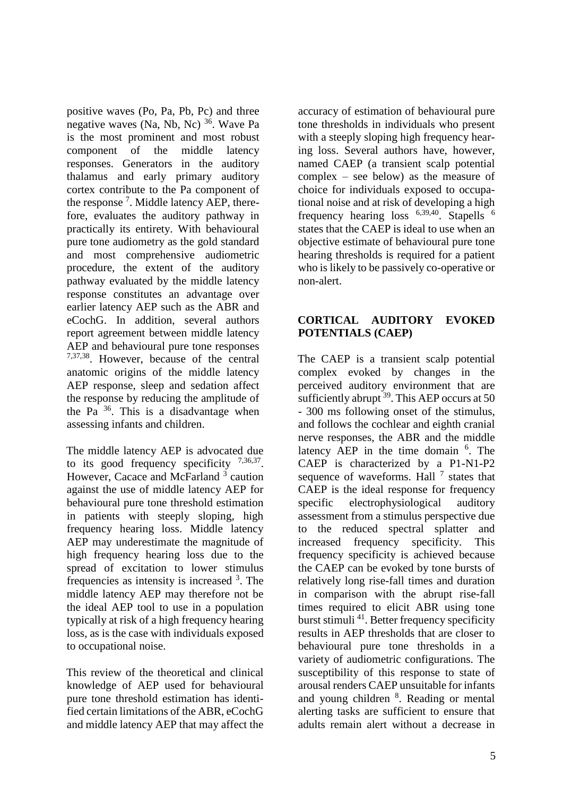positive waves (Po, Pa, Pb, Pc) and three negative waves (Na, Nb, Nc)<sup>36</sup>. Wave Pa is the most prominent and most robust component of the middle latency responses. Generators in the auditory thalamus and early primary auditory cortex contribute to the Pa component of the response<sup>7</sup>. Middle latency AEP, therefore, evaluates the auditory pathway in practically its entirety. With behavioural pure tone audiometry as the gold standard and most comprehensive audiometric procedure, the extent of the auditory pathway evaluated by the middle latency response constitutes an advantage over earlier latency AEP such as the ABR and eCochG. In addition, several authors report agreement between middle latency AEP and behavioural pure tone responses 7,37,38. However, because of the central anatomic origins of the middle latency AEP response, sleep and sedation affect the response by reducing the amplitude of the Pa  $36$ . This is a disadvantage when assessing infants and children.

The middle latency AEP is advocated due to its good frequency specificity  $7,36,37$ . However, Cacace and McFarland<sup>3</sup> caution against the use of middle latency AEP for behavioural pure tone threshold estimation in patients with steeply sloping, high frequency hearing loss. Middle latency AEP may underestimate the magnitude of high frequency hearing loss due to the spread of excitation to lower stimulus frequencies as intensity is increased <sup>3</sup>. The middle latency AEP may therefore not be the ideal AEP tool to use in a population typically at risk of a high frequency hearing loss, as is the case with individuals exposed to occupational noise.

This review of the theoretical and clinical knowledge of AEP used for behavioural pure tone threshold estimation has identified certain limitations of the ABR, eCochG and middle latency AEP that may affect the

accuracy of estimation of behavioural pure tone thresholds in individuals who present with a steeply sloping high frequency hearing loss. Several authors have, however, named CAEP (a transient scalp potential complex – see below) as the measure of choice for individuals exposed to occupational noise and at risk of developing a high frequency hearing loss  $6,39,40$ . Stapells  $6$ states that the CAEP is ideal to use when an objective estimate of behavioural pure tone hearing thresholds is required for a patient who is likely to be passively co-operative or non-alert.

# **CORTICAL AUDITORY EVOKED POTENTIALS (CAEP)**

The CAEP is a transient scalp potential complex evoked by changes in the perceived auditory environment that are sufficiently abrupt  $39$ . This AEP occurs at 50 - 300 ms following onset of the stimulus, and follows the cochlear and eighth cranial nerve responses, the ABR and the middle latency AEP in the time domain <sup>6</sup>. The CAEP is characterized by a P1-N1-P2 sequence of waveforms. Hall  $<sup>7</sup>$  states that</sup> CAEP is the ideal response for frequency specific electrophysiological auditory assessment from a stimulus perspective due to the reduced spectral splatter and increased frequency specificity. This frequency specificity is achieved because the CAEP can be evoked by tone bursts of relatively long rise-fall times and duration in comparison with the abrupt rise-fall times required to elicit ABR using tone burst stimuli <sup>41</sup>. Better frequency specificity results in AEP thresholds that are closer to behavioural pure tone thresholds in a variety of audiometric configurations. The susceptibility of this response to state of arousal renders CAEP unsuitable for infants and young children <sup>8</sup>. Reading or mental alerting tasks are sufficient to ensure that adults remain alert without a decrease in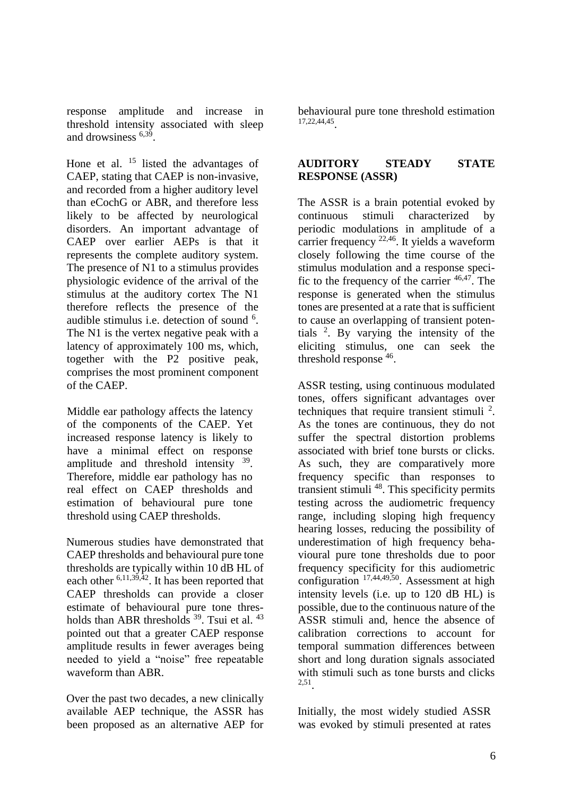response amplitude and increase in threshold intensity associated with sleep and drowsiness 6,39 .

Hone et al.  $15$  listed the advantages of CAEP, stating that CAEP is non-invasive, and recorded from a higher auditory level than eCochG or ABR, and therefore less likely to be affected by neurological disorders. An important advantage of CAEP over earlier AEPs is that it represents the complete auditory system. The presence of N1 to a stimulus provides physiologic evidence of the arrival of the stimulus at the auditory cortex The N1 therefore reflects the presence of the audible stimulus i.e. detection of sound <sup>6</sup>. The N1 is the vertex negative peak with a latency of approximately 100 ms, which, together with the P2 positive peak, comprises the most prominent component of the CAEP.

Middle ear pathology affects the latency of the components of the CAEP. Yet increased response latency is likely to have a minimal effect on response amplitude and threshold intensity  $39$ . Therefore, middle ear pathology has no real effect on CAEP thresholds and estimation of behavioural pure tone threshold using CAEP thresholds.

Numerous studies have demonstrated that CAEP thresholds and behavioural pure tone thresholds are typically within 10 dB HL of each other  $6,11,39,42$ . It has been reported that CAEP thresholds can provide a closer estimate of behavioural pure tone thresholds than ABR thresholds  $39$ . Tsui et al.  $43$ pointed out that a greater CAEP response amplitude results in fewer averages being needed to yield a "noise" free repeatable waveform than ABR.

Over the past two decades, a new clinically available AEP technique, the ASSR has been proposed as an alternative AEP for

behavioural pure tone threshold estimation 17,22,44,45 .

### **AUDITORY STEADY STATE RESPONSE (ASSR)**

The ASSR is a brain potential evoked by continuous stimuli characterized by periodic modulations in amplitude of a carrier frequency <sup>22,46</sup>. It yields a waveform closely following the time course of the stimulus modulation and a response specific to the frequency of the carrier  $46,47$ . The response is generated when the stimulus tones are presented at a rate that is sufficient to cause an overlapping of transient potentials <sup>2</sup> . By varying the intensity of the eliciting stimulus, one can seek the threshold response  $46$ .

ASSR testing, using continuous modulated tones, offers significant advantages over techniques that require transient stimuli <sup>2</sup>. As the tones are continuous, they do not suffer the spectral distortion problems associated with brief tone bursts or clicks. As such, they are comparatively more frequency specific than responses to transient stimuli <sup>48</sup>. This specificity permits testing across the audiometric frequency range, including sloping high frequency hearing losses, reducing the possibility of underestimation of high frequency behavioural pure tone thresholds due to poor frequency specificity for this audiometric configuration 17,44,49,50. Assessment at high intensity levels (i.e. up to 120 dB HL) is possible, due to the continuous nature of the ASSR stimuli and, hence the absence of calibration corrections to account for temporal summation differences between short and long duration signals associated with stimuli such as tone bursts and clicks 2,51 .

Initially, the most widely studied ASSR was evoked by stimuli presented at rates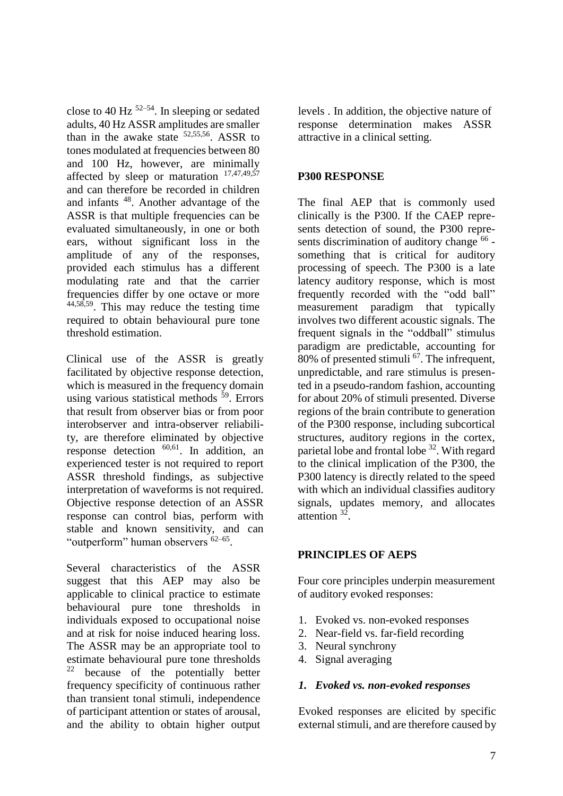close to 40 Hz  $52-54$ . In sleeping or sedated adults, 40 Hz ASSR amplitudes are smaller than in the awake state  $52,55,56$ . ASSR to tones modulated at frequencies between 80 and 100 Hz, however, are minimally affected by sleep or maturation  $17,47,49,57$ and can therefore be recorded in children and infants <sup>48</sup>. Another advantage of the ASSR is that multiple frequencies can be evaluated simultaneously, in one or both ears, without significant loss in the amplitude of any of the responses, provided each stimulus has a different modulating rate and that the carrier frequencies differ by one octave or more 44,58,59. This may reduce the testing time required to obtain behavioural pure tone threshold estimation.

Clinical use of the ASSR is greatly facilitated by objective response detection, which is measured in the frequency domain using various statistical methods  $59$ . Errors that result from observer bias or from poor interobserver and intra-observer reliability, are therefore eliminated by objective response detection  $60,61$ . In addition, an experienced tester is not required to report ASSR threshold findings, as subjective interpretation of waveforms is not required. Objective response detection of an ASSR response can control bias, perform with stable and known sensitivity, and can "outperform" human observers <sup>62–65</sup>.

Several characteristics of the ASSR suggest that this AEP may also be applicable to clinical practice to estimate behavioural pure tone thresholds in individuals exposed to occupational noise and at risk for noise induced hearing loss. The ASSR may be an appropriate tool to estimate behavioural pure tone thresholds <sup>22</sup> because of the potentially better frequency specificity of continuous rather than transient tonal stimuli, independence of participant attention or states of arousal, and the ability to obtain higher output levels . In addition, the objective nature of response determination makes ASSR attractive in a clinical setting.

# **P300 RESPONSE**

The final AEP that is commonly used clinically is the P300. If the CAEP represents detection of sound, the P300 represents discrimination of auditory change <sup>66</sup> something that is critical for auditory processing of speech. The P300 is a late latency auditory response, which is most frequently recorded with the "odd ball" measurement paradigm that typically involves two different acoustic signals. The frequent signals in the "oddball" stimulus paradigm are predictable, accounting for 80% of presented stimuli  $^{67}$ . The infrequent, unpredictable, and rare stimulus is presented in a pseudo-random fashion, accounting for about 20% of stimuli presented. Diverse regions of the brain contribute to generation of the P300 response, including subcortical structures, auditory regions in the cortex, parietal lobe and frontal lobe <sup>32</sup>. With regard to the clinical implication of the P300, the P300 latency is directly related to the speed with which an individual classifies auditory signals, updates memory, and allocates attention <sup>32</sup> .

#### **PRINCIPLES OF AEPS**

Four core principles underpin measurement of auditory evoked responses:

- 1. Evoked vs. non-evoked responses
- 2. Near-field vs. far-field recording
- 3. Neural synchrony
- 4. Signal averaging

#### *1. Evoked vs. non-evoked responses*

Evoked responses are elicited by specific external stimuli, and are therefore caused by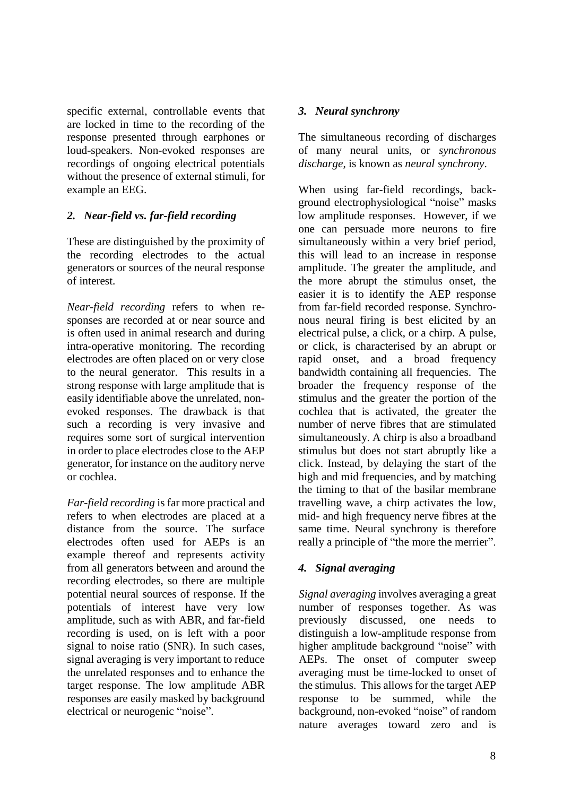specific external, controllable events that are locked in time to the recording of the response presented through earphones or loud-speakers. Non-evoked responses are recordings of ongoing electrical potentials without the presence of external stimuli, for example an EEG.

# *2. Near-field vs. far-field recording*

These are distinguished by the proximity of the recording electrodes to the actual generators or sources of the neural response of interest.

*Near-field recording* refers to when responses are recorded at or near source and is often used in animal research and during intra-operative monitoring. The recording electrodes are often placed on or very close to the neural generator. This results in a strong response with large amplitude that is easily identifiable above the unrelated, nonevoked responses. The drawback is that such a recording is very invasive and requires some sort of surgical intervention in order to place electrodes close to the AEP generator, for instance on the auditory nerve or cochlea.

*Far-field recording* is far more practical and refers to when electrodes are placed at a distance from the source. The surface electrodes often used for AEPs is an example thereof and represents activity from all generators between and around the recording electrodes, so there are multiple potential neural sources of response. If the potentials of interest have very low amplitude, such as with ABR, and far-field recording is used, on is left with a poor signal to noise ratio (SNR). In such cases, signal averaging is very important to reduce the unrelated responses and to enhance the target response. The low amplitude ABR responses are easily masked by background electrical or neurogenic "noise".

### *3. Neural synchrony*

The simultaneous recording of discharges of many neural units, or *synchronous discharge*, is known as *neural synchrony*.

When using far-field recordings, background electrophysiological "noise" masks low amplitude responses. However, if we one can persuade more neurons to fire simultaneously within a very brief period, this will lead to an increase in response amplitude. The greater the amplitude, and the more abrupt the stimulus onset, the easier it is to identify the AEP response from far-field recorded response. Synchronous neural firing is best elicited by an electrical pulse, a click, or a chirp. A pulse, or click, is characterised by an abrupt or rapid onset, and a broad frequency bandwidth containing all frequencies. The broader the frequency response of the stimulus and the greater the portion of the cochlea that is activated, the greater the number of nerve fibres that are stimulated simultaneously. A chirp is also a broadband stimulus but does not start abruptly like a click. Instead, by delaying the start of the high and mid frequencies, and by matching the timing to that of the basilar membrane travelling wave, a chirp activates the low, mid- and high frequency nerve fibres at the same time. Neural synchrony is therefore really a principle of "the more the merrier".

# *4. Signal averaging*

*Signal averaging* involves averaging a great number of responses together. As was previously discussed, one needs to distinguish a low-amplitude response from higher amplitude background "noise" with AEPs. The onset of computer sweep averaging must be time-locked to onset of the stimulus. This allows for the target AEP response to be summed, while the background, non-evoked "noise" of random nature averages toward zero and is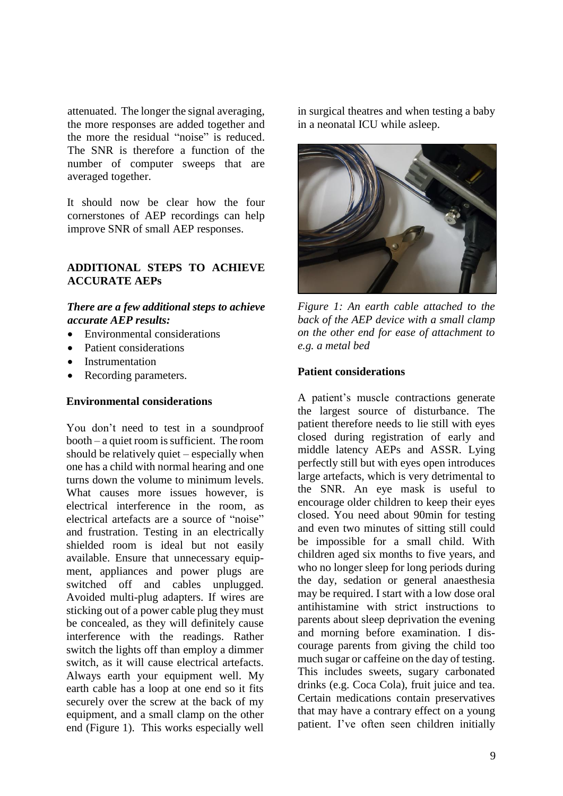attenuated. The longer the signal averaging, the more responses are added together and the more the residual "noise" is reduced. The SNR is therefore a function of the number of computer sweeps that are averaged together.

It should now be clear how the four cornerstones of AEP recordings can help improve SNR of small AEP responses.

# **ADDITIONAL STEPS TO ACHIEVE ACCURATE AEPs**

#### *There are a few additional steps to achieve accurate AEP results:*

- Environmental considerations
- Patient considerations
- **Instrumentation**
- Recording parameters.

#### **Environmental considerations**

You don't need to test in a soundproof booth – a quiet room is sufficient. The room should be relatively quiet – especially when one has a child with normal hearing and one turns down the volume to minimum levels. What causes more issues however, is electrical interference in the room, as electrical artefacts are a source of "noise" and frustration. Testing in an electrically shielded room is ideal but not easily available. Ensure that unnecessary equipment, appliances and power plugs are switched off and cables unplugged. Avoided multi-plug adapters. If wires are sticking out of a power cable plug they must be concealed, as they will definitely cause interference with the readings. Rather switch the lights off than employ a dimmer switch, as it will cause electrical artefacts. Always earth your equipment well. My earth cable has a loop at one end so it fits securely over the screw at the back of my equipment, and a small clamp on the other end (Figure 1). This works especially well in surgical theatres and when testing a baby in a neonatal ICU while asleep.



*Figure 1: An earth cable attached to the back of the AEP device with a small clamp on the other end for ease of attachment to e.g. a metal bed*

#### **Patient considerations**

A patient's muscle contractions generate the largest source of disturbance. The patient therefore needs to lie still with eyes closed during registration of early and middle latency AEPs and ASSR. Lying perfectly still but with eyes open introduces large artefacts, which is very detrimental to the SNR. An eye mask is useful to encourage older children to keep their eyes closed. You need about 90min for testing and even two minutes of sitting still could be impossible for a small child. With children aged six months to five years, and who no longer sleep for long periods during the day, sedation or general anaesthesia may be required. I start with a low dose oral antihistamine with strict instructions to parents about sleep deprivation the evening and morning before examination. I discourage parents from giving the child too much sugar or caffeine on the day of testing. This includes sweets, sugary carbonated drinks (e.g. Coca Cola), fruit juice and tea. Certain medications contain preservatives that may have a contrary effect on a young patient. I've often seen children initially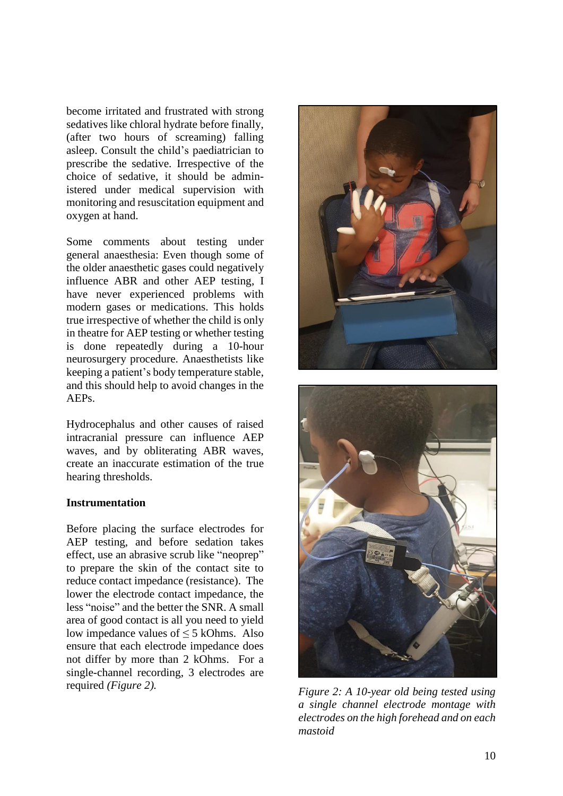become irritated and frustrated with strong sedatives like chloral hydrate before finally, (after two hours of screaming) falling asleep. Consult the child's paediatrician to prescribe the sedative. Irrespective of the choice of sedative, it should be administered under medical supervision with monitoring and resuscitation equipment and oxygen at hand.

Some comments about testing under general anaesthesia: Even though some of the older anaesthetic gases could negatively influence ABR and other AEP testing, I have never experienced problems with modern gases or medications. This holds true irrespective of whether the child is only in theatre for AEP testing or whether testing is done repeatedly during a 10-hour neurosurgery procedure. Anaesthetists like keeping a patient's body temperature stable, and this should help to avoid changes in the AEPs.

Hydrocephalus and other causes of raised intracranial pressure can influence AEP waves, and by obliterating ABR waves, create an inaccurate estimation of the true hearing thresholds.

#### **Instrumentation**

Before placing the surface electrodes for AEP testing, and before sedation takes effect, use an abrasive scrub like "neoprep" to prepare the skin of the contact site to reduce contact impedance (resistance). The lower the electrode contact impedance, the less "noise" and the better the SNR. A small area of good contact is all you need to yield low impedance values of  $\leq$  5 kOhms. Also ensure that each electrode impedance does not differ by more than 2 kOhms. For a single-channel recording, 3 electrodes are required *(Figure 2).*





*Figure 2: A 10-year old being tested using a single channel electrode montage with electrodes on the high forehead and on each mastoid*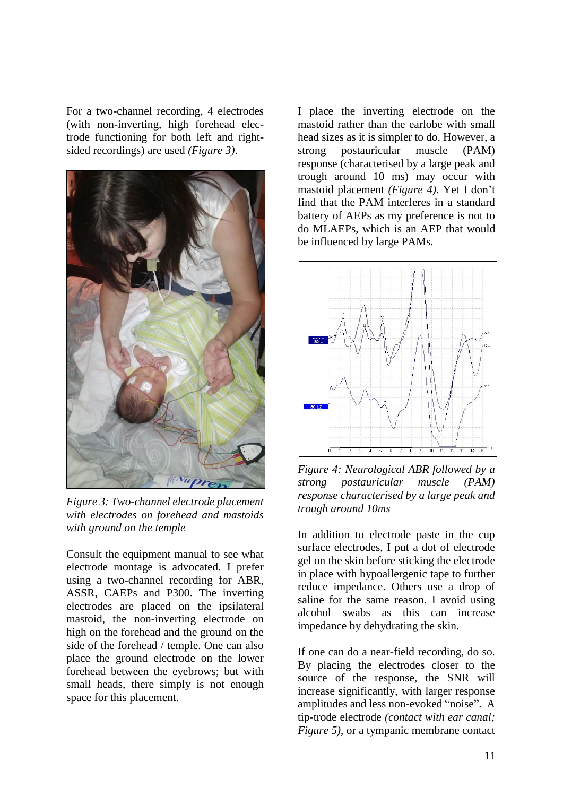For a two-channel recording, 4 electrodes (with non-inverting, high forehead electrode functioning for both left and rightsided recordings) are used *(Figure 3)*.



*Figure 3: Two-channel electrode placement with electrodes on forehead and mastoids with ground on the temple*

Consult the equipment manual to see what electrode montage is advocated. I prefer using a two-channel recording for ABR, ASSR, CAEPs and P300. The inverting electrodes are placed on the ipsilateral mastoid, the non-inverting electrode on high on the forehead and the ground on the side of the forehead / temple. One can also place the ground electrode on the lower forehead between the eyebrows; but with small heads, there simply is not enough space for this placement.

I place the inverting electrode on the mastoid rather than the earlobe with small head sizes as it is simpler to do. However, a strong postauricular muscle (PAM) response (characterised by a large peak and trough around 10 ms) may occur with mastoid placement *(Figure 4)*. Yet I don't find that the PAM interferes in a standard battery of AEPs as my preference is not to do MLAEPs, which is an AEP that would be influenced by large PAMs.



*Figure 4: Neurological ABR followed by a strong postauricular muscle (PAM) response characterised by a large peak and trough around 10ms*

In addition to electrode paste in the cup surface electrodes, I put a dot of electrode gel on the skin before sticking the electrode in place with hypoallergenic tape to further reduce impedance. Others use a drop of saline for the same reason. I avoid using alcohol swabs as this can increase impedance by dehydrating the skin.

If one can do a near-field recording, do so. By placing the electrodes closer to the source of the response, the SNR will increase significantly, with larger response amplitudes and less non-evoked "noise". A tip-trode electrode *(contact with ear canal; Figure 5)*, or a tympanic membrane contact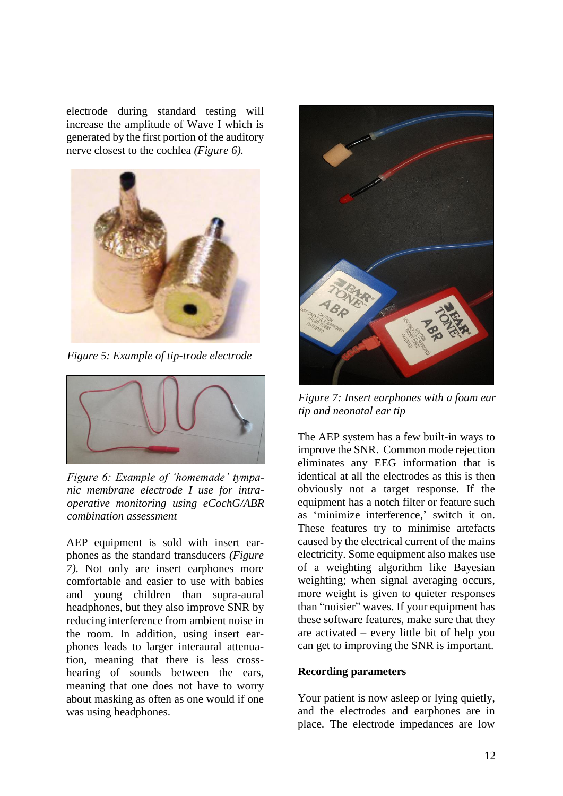electrode during standard testing will increase the amplitude of Wave I which is generated by the first portion of the auditory nerve closest to the cochlea *(Figure 6).*



*Figure 5: Example of tip-trode electrode*



*Figure 6: Example of 'homemade' tympanic membrane electrode I use for intraoperative monitoring using eCochG/ABR combination assessment*

AEP equipment is sold with insert earphones as the standard transducers *(Figure 7)*. Not only are insert earphones more comfortable and easier to use with babies and young children than supra-aural headphones, but they also improve SNR by reducing interference from ambient noise in the room. In addition, using insert earphones leads to larger interaural attenuation, meaning that there is less crosshearing of sounds between the ears, meaning that one does not have to worry about masking as often as one would if one was using headphones.



*Figure 7: Insert earphones with a foam ear tip and neonatal ear tip*

The AEP system has a few built-in ways to improve the SNR. Common mode rejection eliminates any EEG information that is identical at all the electrodes as this is then obviously not a target response. If the equipment has a notch filter or feature such as 'minimize interference,' switch it on. These features try to minimise artefacts caused by the electrical current of the mains electricity. Some equipment also makes use of a weighting algorithm like Bayesian weighting; when signal averaging occurs, more weight is given to quieter responses than "noisier" waves. If your equipment has these software features, make sure that they are activated – every little bit of help you can get to improving the SNR is important.

# **Recording parameters**

Your patient is now asleep or lying quietly, and the electrodes and earphones are in place. The electrode impedances are low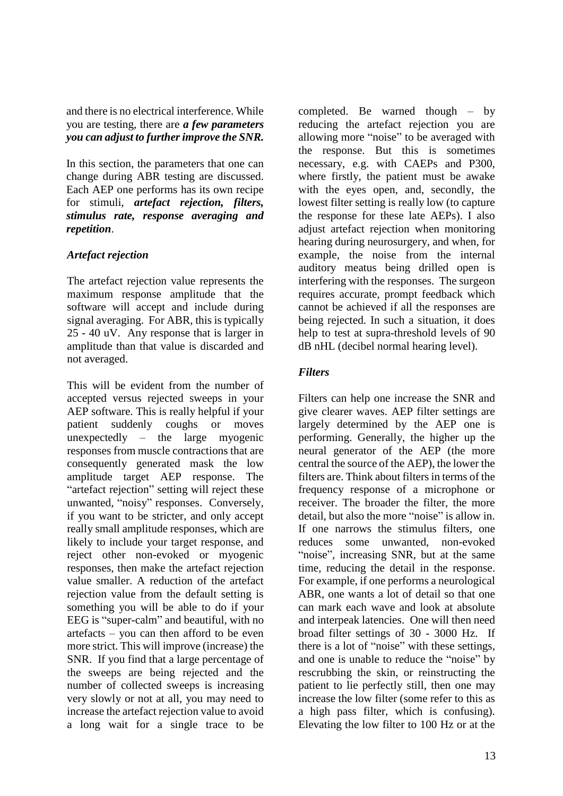and there is no electrical interference. While you are testing, there are *a few parameters you can adjust to further improve the SNR.*

In this section, the parameters that one can change during ABR testing are discussed. Each AEP one performs has its own recipe for stimuli, *artefact rejection, filters, stimulus rate, response averaging and repetition*.

# *Artefact rejection*

The artefact rejection value represents the maximum response amplitude that the software will accept and include during signal averaging. For ABR, this is typically 25 - 40 uV. Any response that is larger in amplitude than that value is discarded and not averaged.

This will be evident from the number of accepted versus rejected sweeps in your AEP software. This is really helpful if your patient suddenly coughs or moves unexpectedly – the large myogenic responses from muscle contractions that are consequently generated mask the low amplitude target AEP response. The "artefact rejection" setting will reject these unwanted, "noisy" responses. Conversely, if you want to be stricter, and only accept really small amplitude responses, which are likely to include your target response, and reject other non-evoked or myogenic responses, then make the artefact rejection value smaller. A reduction of the artefact rejection value from the default setting is something you will be able to do if your EEG is "super-calm" and beautiful, with no artefacts – you can then afford to be even more strict. This will improve (increase) the SNR. If you find that a large percentage of the sweeps are being rejected and the number of collected sweeps is increasing very slowly or not at all, you may need to increase the artefact rejection value to avoid a long wait for a single trace to be

completed. Be warned though – by reducing the artefact rejection you are allowing more "noise" to be averaged with the response. But this is sometimes necessary, e.g. with CAEPs and P300, where firstly, the patient must be awake with the eyes open, and, secondly, the lowest filter setting is really low (to capture the response for these late AEPs). I also adjust artefact rejection when monitoring hearing during neurosurgery, and when, for example, the noise from the internal auditory meatus being drilled open is interfering with the responses. The surgeon requires accurate, prompt feedback which cannot be achieved if all the responses are being rejected. In such a situation, it does help to test at supra-threshold levels of 90 dB nHL (decibel normal hearing level).

# *Filters*

Filters can help one increase the SNR and give clearer waves. AEP filter settings are largely determined by the AEP one is performing. Generally, the higher up the neural generator of the AEP (the more central the source of the AEP), the lower the filters are. Think about filters in terms of the frequency response of a microphone or receiver. The broader the filter, the more detail, but also the more "noise" is allow in. If one narrows the stimulus filters, one reduces some unwanted, non-evoked "noise", increasing SNR, but at the same time, reducing the detail in the response. For example, if one performs a neurological ABR, one wants a lot of detail so that one can mark each wave and look at absolute and interpeak latencies. One will then need broad filter settings of 30 - 3000 Hz. If there is a lot of "noise" with these settings, and one is unable to reduce the "noise" by rescrubbing the skin, or reinstructing the patient to lie perfectly still, then one may increase the low filter (some refer to this as a high pass filter, which is confusing). Elevating the low filter to 100 Hz or at the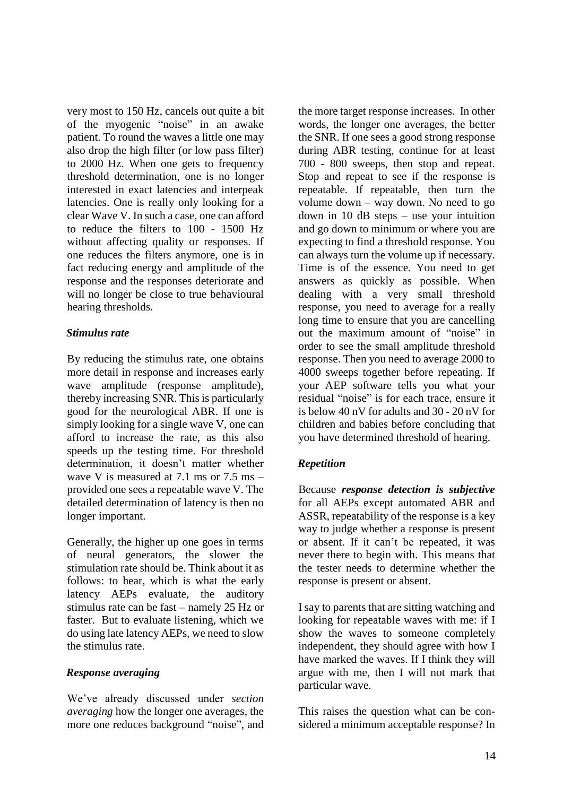very most to 150 Hz, cancels out quite a bit of the myogenic "noise" in an awake patient. To round the waves a little one may also drop the high filter (or low pass filter) to 2000 Hz. When one gets to frequency threshold determination, one is no longer interested in exact latencies and interpeak latencies. One is really only looking for a clear Wave V. In such a case, one can afford to reduce the filters to 100 - 1500 Hz without affecting quality or responses. If one reduces the filters anymore, one is in fact reducing energy and amplitude of the response and the responses deteriorate and will no longer be close to true behavioural hearing thresholds.

# *Stimulus rate*

By reducing the stimulus rate, one obtains more detail in response and increases early wave amplitude (response amplitude), thereby increasing SNR. This is particularly good for the neurological ABR. If one is simply looking for a single wave V, one can afford to increase the rate, as this also speeds up the testing time. For threshold determination, it doesn't matter whether wave V is measured at 7.1 ms or 7.5 ms – provided one sees a repeatable wave V. The detailed determination of latency is then no longer important.

Generally, the higher up one goes in terms of neural generators, the slower the stimulation rate should be. Think about it as follows: to hear, which is what the early latency AEPs evaluate, the auditory stimulus rate can be fast – namely 25 Hz or faster. But to evaluate listening, which we do using late latency AEPs, we need to slow the stimulus rate.

# *Response averaging*

We've already discussed under *section averaging* how the longer one averages, the more one reduces background "noise", and the more target response increases. In other words, the longer one averages, the better the SNR. If one sees a good strong response during ABR testing, continue for at least 700 - 800 sweeps, then stop and repeat. Stop and repeat to see if the response is repeatable. If repeatable, then turn the volume down – way down. No need to go down in 10 dB steps – use your intuition and go down to minimum or where you are expecting to find a threshold response. You can always turn the volume up if necessary. Time is of the essence. You need to get answers as quickly as possible. When dealing with a very small threshold response, you need to average for a really long time to ensure that you are cancelling out the maximum amount of "noise" in order to see the small amplitude threshold response. Then you need to average 2000 to 4000 sweeps together before repeating. If your AEP software tells you what your residual "noise" is for each trace, ensure it is below 40 nV for adults and 30 - 20 nV for children and babies before concluding that you have determined threshold of hearing.

# *Repetition*

Because *response detection is subjective* for all AEPs except automated ABR and ASSR, repeatability of the response is a key way to judge whether a response is present or absent. If it can't be repeated, it was never there to begin with. This means that the tester needs to determine whether the response is present or absent.

I say to parents that are sitting watching and looking for repeatable waves with me: if I show the waves to someone completely independent, they should agree with how I have marked the waves. If I think they will argue with me, then I will not mark that particular wave.

This raises the question what can be considered a minimum acceptable response? In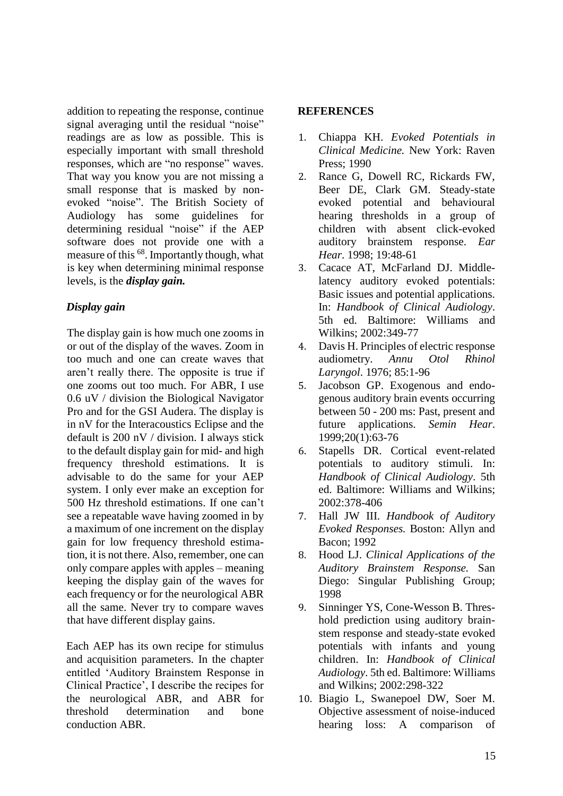addition to repeating the response, continue signal averaging until the residual "noise" readings are as low as possible. This is especially important with small threshold responses, which are "no response" waves. That way you know you are not missing a small response that is masked by nonevoked "noise". The British Society of Audiology has some guidelines for determining residual "noise" if the AEP software does not provide one with a measure of this <sup>68</sup>. Importantly though, what is key when determining minimal response levels, is the *display gain.*

# *Display gain*

The display gain is how much one zooms in or out of the display of the waves. Zoom in too much and one can create waves that aren't really there. The opposite is true if one zooms out too much. For ABR, I use 0.6 uV / division the Biological Navigator Pro and for the GSI Audera. The display is in nV for the Interacoustics Eclipse and the default is 200 nV / division. I always stick to the default display gain for mid- and high frequency threshold estimations. It is advisable to do the same for your AEP system. I only ever make an exception for 500 Hz threshold estimations. If one can't see a repeatable wave having zoomed in by a maximum of one increment on the display gain for low frequency threshold estimation, it is not there. Also, remember, one can only compare apples with apples – meaning keeping the display gain of the waves for each frequency or for the neurological ABR all the same. Never try to compare waves that have different display gains.

Each AEP has its own recipe for stimulus and acquisition parameters. In the chapter entitled 'Auditory Brainstem Response in Clinical Practice', I describe the recipes for the neurological ABR, and ABR for threshold determination and bone conduction ABR.

# **REFERENCES**

- 1. Chiappa KH. *Evoked Potentials in Clinical Medicine.* New York: Raven Press; 1990
- 2. Rance G, Dowell RC, Rickards FW, Beer DE, Clark GM. Steady-state evoked potential and behavioural hearing thresholds in a group of children with absent click-evoked auditory brainstem response. *Ear Hear*. 1998; 19:48-61
- 3. Cacace AT, McFarland DJ. Middlelatency auditory evoked potentials: Basic issues and potential applications. In: *Handbook of Clinical Audiology*. 5th ed. Baltimore: Williams and Wilkins; 2002:349-77
- 4. Davis H. Principles of electric response audiometry. *Annu Otol Rhinol Laryngol*. 1976; 85:1-96
- 5. Jacobson GP. Exogenous and endogenous auditory brain events occurring between 50 - 200 ms: Past, present and future applications. *Semin Hear*. 1999;20(1):63-76
- 6. Stapells DR. Cortical event-related potentials to auditory stimuli. In: *Handbook of Clinical Audiology*. 5th ed. Baltimore: Williams and Wilkins; 2002:378-406
- 7. Hall JW III. *Handbook of Auditory Evoked Responses.* Boston: Allyn and Bacon; 1992
- 8. Hood LJ. *Clinical Applications of the Auditory Brainstem Response.* San Diego: Singular Publishing Group; 1998
- 9. Sinninger YS, Cone-Wesson B. Threshold prediction using auditory brainstem response and steady-state evoked potentials with infants and young children. In: *Handbook of Clinical Audiology*. 5th ed. Baltimore: Williams and Wilkins; 2002:298-322
- 10. Biagio L, Swanepoel DW, Soer M. Objective assessment of noise-induced hearing loss: A comparison of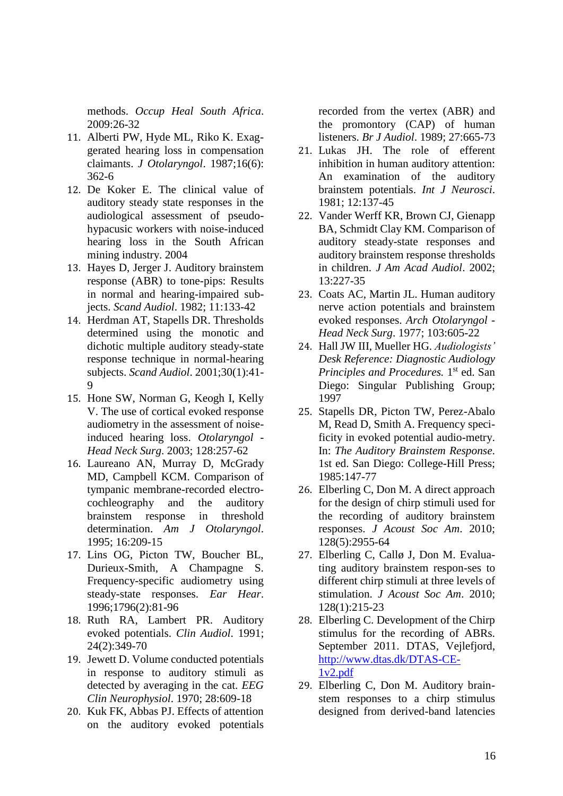methods. *Occup Heal South Africa*. 2009:26-32

- 11. Alberti PW, Hyde ML, Riko K. Exaggerated hearing loss in compensation claimants. *J Otolaryngol*. 1987;16(6): 362-6
- 12. De Koker E. The clinical value of auditory steady state responses in the audiological assessment of pseudohypacusic workers with noise-induced hearing loss in the South African mining industry. 2004
- 13. Hayes D, Jerger J. Auditory brainstem response (ABR) to tone-pips: Results in normal and hearing-impaired subjects. *Scand Audiol*. 1982; 11:133-42
- 14. Herdman AT, Stapells DR. Thresholds determined using the monotic and dichotic multiple auditory steady-state response technique in normal-hearing subjects. *Scand Audiol*. 2001;30(1):41-  $\mathbf Q$
- 15. Hone SW, Norman G, Keogh I, Kelly V. The use of cortical evoked response audiometry in the assessment of noiseinduced hearing loss. *Otolaryngol - Head Neck Surg*. 2003; 128:257-62
- 16. Laureano AN, Murray D, McGrady MD, Campbell KCM. Comparison of tympanic membrane-recorded electrocochleography and the auditory brainstem response in threshold determination. *Am J Otolaryngol*. 1995; 16:209-15
- 17. Lins OG, Picton TW, Boucher BL, Durieux-Smith, A Champagne S. Frequency-specific audiometry using steady-state responses. *Ear Hear*. 1996;1796(2):81-96
- 18. Ruth RA, Lambert PR. Auditory evoked potentials. *Clin Audiol*. 1991; 24(2):349-70
- 19. Jewett D. Volume conducted potentials in response to auditory stimuli as detected by averaging in the cat. *EEG Clin Neurophysiol*. 1970; 28:609-18
- 20. Kuk FK, Abbas PJ. Effects of attention on the auditory evoked potentials

recorded from the vertex (ABR) and the promontory (CAP) of human listeners. *Br J Audiol*. 1989; 27:665-73

- 21. Lukas JH. The role of efferent inhibition in human auditory attention: An examination of the auditory brainstem potentials. *Int J Neurosci*. 1981; 12:137-45
- 22. Vander Werff KR, Brown CJ, Gienapp BA, Schmidt Clay KM. Comparison of auditory steady-state responses and auditory brainstem response thresholds in children. *J Am Acad Audiol*. 2002; 13:227-35
- 23. Coats AC, Martin JL. Human auditory nerve action potentials and brainstem evoked responses. *Arch Otolaryngol - Head Neck Surg*. 1977; 103:605-22
- 24. Hall JW III, Mueller HG. *Audiologists' Desk Reference: Diagnostic Audiology*  Principles and Procedures. 1<sup>st</sup> ed. San Diego: Singular Publishing Group; 1997
- 25. Stapells DR, Picton TW, Perez-Abalo M, Read D, Smith A. Frequency specificity in evoked potential audio-metry. In: *The Auditory Brainstem Response*. 1st ed. San Diego: College-Hill Press; 1985:147-77
- 26. Elberling C, Don M. A direct approach for the design of chirp stimuli used for the recording of auditory brainstem responses. *J Acoust Soc Am*. 2010; 128(5):2955-64
- 27. Elberling C, Callø J, Don M. Evaluating auditory brainstem respon-ses to different chirp stimuli at three levels of stimulation. *J Acoust Soc Am*. 2010; 128(1):215-23
- 28. Elberling C. Development of the Chirp stimulus for the recording of ABRs. September 2011. DTAS, Vejlefjord, [http://www.dtas.dk/DTAS-CE-](http://www.dtas.dk/DTAS-CE-1v2.pdf)[1v2.pdf](http://www.dtas.dk/DTAS-CE-1v2.pdf)
- 29. Elberling C, Don M. Auditory brainstem responses to a chirp stimulus designed from derived-band latencies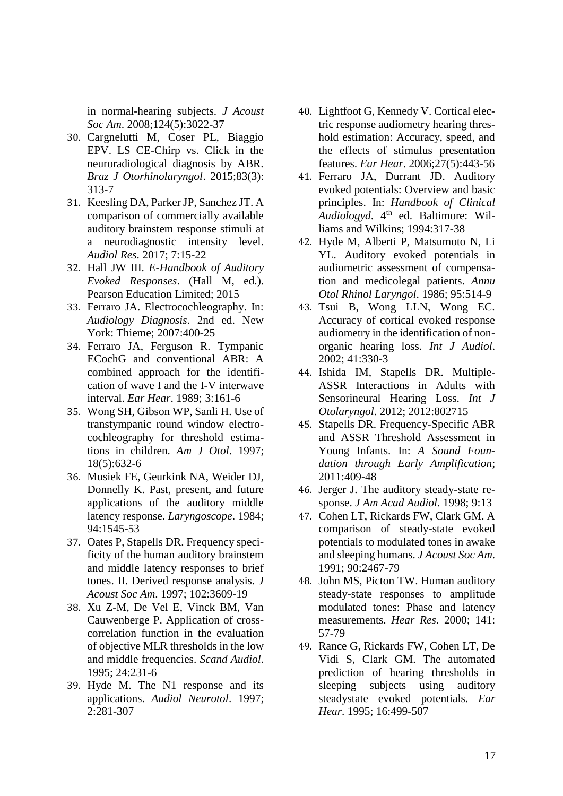in normal-hearing subjects. *J Acoust Soc Am*. 2008;124(5):3022-37

- 30. Cargnelutti M, Coser PL, Biaggio EPV. LS CE-Chirp vs. Click in the neuroradiological diagnosis by ABR. *Braz J Otorhinolaryngol*. 2015;83(3): 313-7
- 31. Keesling DA, Parker JP, Sanchez JT. A comparison of commercially available auditory brainstem response stimuli at a neurodiagnostic intensity level. *Audiol Res*. 2017; 7:15-22
- 32. Hall JW III. *E-Handbook of Auditory Evoked Responses*. (Hall M, ed.). Pearson Education Limited; 2015
- 33. Ferraro JA. Electrocochleography. In: *Audiology Diagnosis*. 2nd ed. New York: Thieme; 2007:400-25
- 34. Ferraro JA, Ferguson R. Tympanic ECochG and conventional ABR: A combined approach for the identification of wave I and the I-V interwave interval. *Ear Hear*. 1989; 3:161-6
- 35. Wong SH, Gibson WP, Sanli H. Use of transtympanic round window electrocochleography for threshold estimations in children. *Am J Otol*. 1997; 18(5):632-6
- 36. Musiek FE, Geurkink NA, Weider DJ, Donnelly K. Past, present, and future applications of the auditory middle latency response. *Laryngoscope*. 1984; 94:1545-53
- 37. Oates P, Stapells DR. Frequency specificity of the human auditory brainstem and middle latency responses to brief tones. II. Derived response analysis. *J Acoust Soc Am*. 1997; 102:3609-19
- 38. Xu Z-M, De Vel E, Vinck BM, Van Cauwenberge P. Application of crosscorrelation function in the evaluation of objective MLR thresholds in the low and middle frequencies. *Scand Audiol*. 1995; 24:231-6
- 39. Hyde M. The N1 response and its applications. *Audiol Neurotol*. 1997; 2:281-307
- 40. Lightfoot G, Kennedy V. Cortical electric response audiometry hearing threshold estimation: Accuracy, speed, and the effects of stimulus presentation features. *Ear Hear*. 2006;27(5):443-56
- 41. Ferraro JA, Durrant JD. Auditory evoked potentials: Overview and basic principles. In: *Handbook of Clinical Audiologyd*. 4th ed. Baltimore: Williams and Wilkins; 1994:317-38
- 42. Hyde M, Alberti P, Matsumoto N, Li YL. Auditory evoked potentials in audiometric assessment of compensation and medicolegal patients. *Annu Otol Rhinol Laryngol*. 1986; 95:514-9
- 43. Tsui B, Wong LLN, Wong EC. Accuracy of cortical evoked response audiometry in the identification of nonorganic hearing loss. *Int J Audiol*. 2002; 41:330-3
- 44. Ishida IM, Stapells DR. Multiple-ASSR Interactions in Adults with Sensorineural Hearing Loss. *Int J Otolaryngol*. 2012; 2012:802715
- 45. Stapells DR. Frequency-Specific ABR and ASSR Threshold Assessment in Young Infants. In: *A Sound Foundation through Early Amplification*; 2011:409-48
- 46. Jerger J. The auditory steady-state response. *J Am Acad Audiol*. 1998; 9:13
- 47. Cohen LT, Rickards FW, Clark GM. A comparison of steady-state evoked potentials to modulated tones in awake and sleeping humans. *J Acoust Soc Am*. 1991; 90:2467-79
- 48. John MS, Picton TW. Human auditory steady-state responses to amplitude modulated tones: Phase and latency measurements. *Hear Res*. 2000; 141: 57-79
- 49. Rance G, Rickards FW, Cohen LT, De Vidi S, Clark GM. The automated prediction of hearing thresholds in sleeping subjects using auditory steadystate evoked potentials. *Ear Hear*. 1995; 16:499-507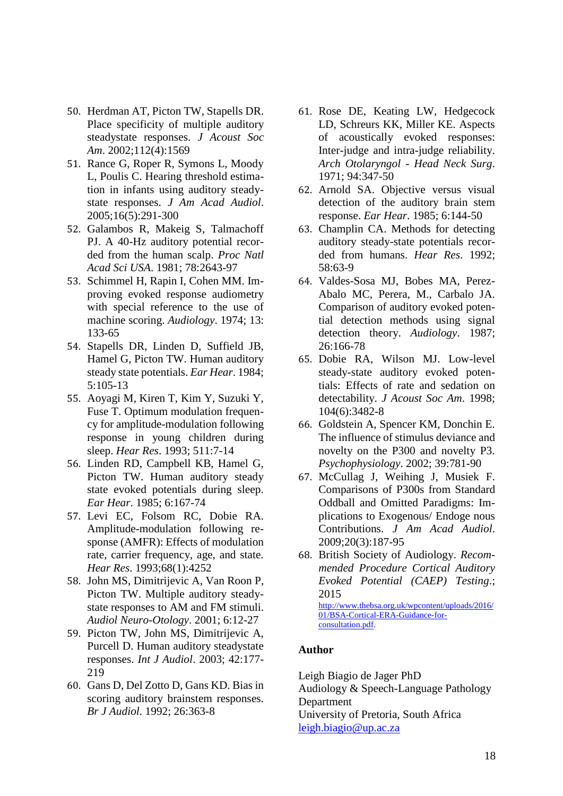- 50. Herdman AT, Picton TW, Stapells DR. Place specificity of multiple auditory steadystate responses. *J Acoust Soc Am*. 2002;112(4):1569
- 51. Rance G, Roper R, Symons L, Moody L, Poulis C. Hearing threshold estimation in infants using auditory steadystate responses. *J Am Acad Audiol*. 2005;16(5):291-300
- 52. Galambos R, Makeig S, Talmachoff PJ. A 40-Hz auditory potential recorded from the human scalp. *Proc Natl Acad Sci USA*. 1981; 78:2643-97
- 53. Schimmel H, Rapin I, Cohen MM. Improving evoked response audiometry with special reference to the use of machine scoring. *Audiology*. 1974; 13: 133-65
- 54. Stapells DR, Linden D, Suffield JB, Hamel G, Picton TW. Human auditory steady state potentials. *Ear Hear*. 1984; 5:105-13
- 55. Aoyagi M, Kiren T, Kim Y, Suzuki Y, Fuse T. Optimum modulation frequency for amplitude-modulation following response in young children during sleep. *Hear Res*. 1993; 511:7-14
- 56. Linden RD, Campbell KB, Hamel G, Picton TW. Human auditory steady state evoked potentials during sleep. *Ear Hear*. 1985; 6:167-74
- 57. Levi EC, Folsom RC, Dobie RA. Amplitude-modulation following response (AMFR): Effects of modulation rate, carrier frequency, age, and state. *Hear Res*. 1993;68(1):4252
- 58. John MS, Dimitrijevic A, Van Roon P, Picton TW. Multiple auditory steadystate responses to AM and FM stimuli. *Audiol Neuro-Otology*. 2001; 6:12-27
- 59. Picton TW, John MS, Dimitrijevic A, Purcell D. Human auditory steadystate responses. *Int J Audiol*. 2003; 42:177- 219
- 60. Gans D, Del Zotto D, Gans KD. Bias in scoring auditory brainstem responses. *Br J Audiol*. 1992; 26:363-8
- 61. Rose DE, Keating LW, Hedgecock LD, Schreurs KK, Miller KE. Aspects of acoustically evoked responses: Inter-judge and intra-judge reliability. *Arch Otolaryngol - Head Neck Surg*. 1971; 94:347-50
- 62. Arnold SA. Objective versus visual detection of the auditory brain stem response. *Ear Hear*. 1985; 6:144-50
- 63. Champlin CA. Methods for detecting auditory steady-state potentials recorded from humans. *Hear Res*. 1992; 58:63-9
- 64. Valdes-Sosa MJ, Bobes MA, Perez-Abalo MC, Perera, M., Carbalo JA. Comparison of auditory evoked potential detection methods using signal detection theory. *Audiology*. 1987; 26:166-78
- 65. Dobie RA, Wilson MJ. Low-level steady-state auditory evoked potentials: Effects of rate and sedation on detectability. *J Acoust Soc Am*. 1998; 104(6):3482-8
- 66. Goldstein A, Spencer KM, Donchin E. The influence of stimulus deviance and novelty on the P300 and novelty P3. *Psychophysiology*. 2002; 39:781-90
- 67. McCullag J, Weihing J, Musiek F. Comparisons of P300s from Standard Oddball and Omitted Paradigms: Implications to Exogenous/ Endoge nous Contributions. *J Am Acad Audiol*. 2009;20(3):187-95
- 68. British Society of Audiology. *Recommended Procedure Cortical Auditory Evoked Potential (CAEP) Testing*.; 2015 [http://www.thebsa.org.uk/wpcontent/uploads/2016/](http://www.thebsa.org.uk/wpcontent/uploads/2016/01/BSA-Cortical-ERA-Guidance-for-consultation.pdf) [01/BSA-Cortical-ERA-Guidance-for](http://www.thebsa.org.uk/wpcontent/uploads/2016/01/BSA-Cortical-ERA-Guidance-for-consultation.pdf)[consultation.pdf.](http://www.thebsa.org.uk/wpcontent/uploads/2016/01/BSA-Cortical-ERA-Guidance-for-consultation.pdf)

#### **Author**

Leigh Biagio de Jager PhD Audiology & Speech-Language Pathology Department University of Pretoria, South Africa [leigh.biagio@up.ac.za](mailto:leigh.biagio@up.ac.za)